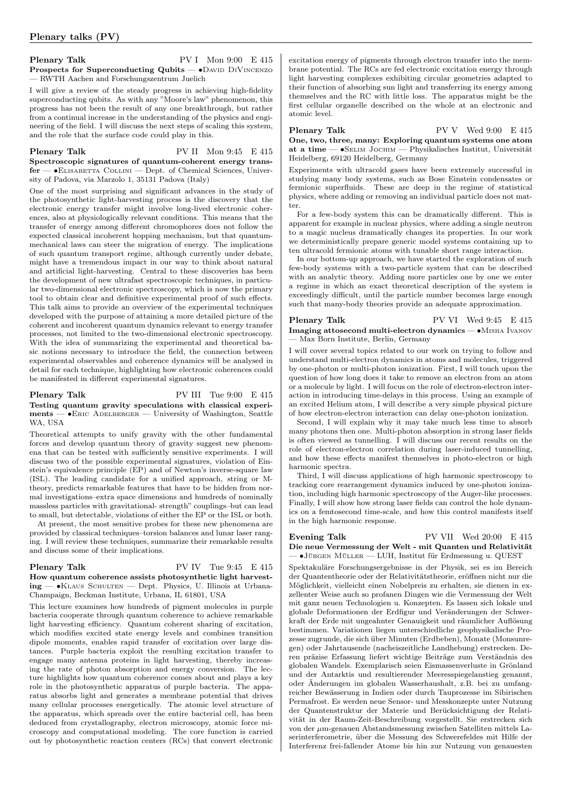Plenary Talk PV I Mon 9:00 E 415 Prospects for Superconducting Qubits — •DAVID DIVINCENZO — RWTH Aachen and Forschungszentrum Juelich

I will give a review of the steady progress in achieving high-fidelity superconducting qubits. As with any "Moore's law" phenomenon, this progress has not been the result of any one breakthrough, but rather from a continual increase in the understanding of the physics and engineering of the field. I will discuss the next steps of scaling this system, and the role that the surface code could play in this.

Plenary Talk PV II Mon 9:45 E 415 Spectroscopic signatures of quantum-coherent energy transfer — ∙Elisabetta Collini — Dept. of Chemical Sciences, University of Padova, via Marzolo 1, 35131 Padova (Italy)

One of the most surprising and significant advances in the study of the photosynthetic light-harvesting process is the discovery that the electronic energy transfer might involve long-lived electronic coherences, also at physiologically relevant conditions. This means that the transfer of energy among different chromophores does not follow the expected classical incoherent hopping mechanism, but that quantummechanical laws can steer the migration of energy. The implications of such quantum transport regime, although currently under debate, might have a tremendous impact in our way to think about natural and artificial light-harvesting. Central to these discoveries has been the development of new ultrafast spectroscopic techniques, in particular two-dimensional electronic spectroscopy, which is now the primary tool to obtain clear and definitive experimental proof of such effects. This talk aims to provide an overview of the experimental techniques developed with the purpose of attaining a more detailed picture of the coherent and incoherent quantum dynamics relevant to energy transfer processes, not limited to the two-dimensional electronic spectroscopy. With the idea of summarizing the experimental and theoretical basic notions necessary to introduce the field, the connection between experimental observables and coherence dynamics will be analysed in detail for each technique, highlighting how electronic coherences could be manifested in different experimental signatures.

## Plenary Talk PV III Tue 9:00 E 415 Testing quantum gravity speculations with classical experiments — ∙Eric Adelberger — University of Washington, Seattle WA, USA

Theoretical attempts to unify gravity with the other fundamental forces and develop quantum theory of gravity suggest new phenomena that can be tested with sufficiently sensitive experiments. I will discuss two of the possible experimental signatures, violation of Einstein's equivalence principle (EP) and of Newton's inverse-square law (ISL). The leading candidate for a unified approach, string or Mtheory, predicts remarkable features that have to be hidden from normal investigations–extra space dimensions and hundreds of nominally massless particles with gravitational- strength" couplings–but can lead to small, but detectable, violations of either the EP or the ISL or both.

At present, the most sensitive probes for these new phenomena are provided by classical techniques–torsion balances and lunar laser ranging. I will review these techniques, summarize their remarkable results and discuss some of their implications.

#### Plenary Talk PV IV Tue 9:45 E 415 How quantum coherence assists photosynthetic light harvesting — ∙Klaus Schulten — Dept. Physics, U. Illinois at Urbana-Champaign, Beckman Institute, Urbana, IL 61801, USA

This lecture examines how hundreds of pigment molecules in purple bacteria cooperate through quantum coherence to achieve remarkable light harvesting efficiency. Quantum coherent sharing of excitation, which modifies excited state energy levels and combines transition dipole moments, enables rapid transfer of excitation over large distances. Purple bacteria exploit the resulting excitation transfer to engage many antenna proteins in light harvesting, thereby increasing the rate of photon absorption and energy conversion. The lecture highlights how quantum coherence comes about and plays a key role in the photosynthetic apparatus of purple bacteria. The apparatus absorbs light and generates a membrane potential that drives many cellular processes energetically. The atomic level structure of the apparatus, which spreads over the entire bacterial cell, has been deduced from crystallography, electron microscopy, atomic force microscopy and computational modeling. The core function is carried out by photosynthetic reaction centers (RCs) that convert electronic

excitation energy of pigments through electron transfer into the membrane potential. The RCs are fed electronic excitation energy through light harvesting complexes exhibiting circular geometries adapted to their function of absorbing sun light and transferring its energy among themselves and the RC with little loss. The apparatus might be the first cellular organelle described on the whole at an electronic and atomic level.

Plenary Talk PV V Wed 9:00 E 415 One, two, three, many: Exploring quantum systems one atom at a time — ∙Selim Jochim — Physikalisches Institut, Universität Heidelberg, 69120 Heidelberg, Germany

Experiments with ultracold gases have been extremely successful in studying many body systems, such as Bose Einstein condensates or fermionic superfluids. These are deep in the regime of statistical physics, where adding or removing an individual particle does not matter.

For a few-body system this can be dramatically different. This is apparent for example in nuclear physics, where adding a single neutron to a magic nucleus dramatically changes its properties. In our work we deterministically prepare generic model systems containing up to ten ultracold fermionic atoms with tunable short range interaction.

In our bottom-up approach, we have started the exploration of such few-body systems with a two-particle system that can be described with an analytic theory. Adding more particles one by one we enter a regime in which an exact theoretical description of the system is exceedingly difficult, until the particle number becomes large enough such that many-body theories provide an adequate approximation.

### Plenary Talk PV VI Wed 9:45 E 415 Imaging attosecond multi-electron dynamics — ∙Misha Ivanov — Max Born Institute, Berlin, Germany

I will cover several topics related to our work on trying to follow and understand multi-electron dynamics in atoms and molecules, triggered by one-photon or multi-photon ionization. First, I will touch upon the question of how long does it take to remove an electron from an atom or a molecule by light. I will focus on the role of electron-electron interaction in introducing time-delays in this process. Using an example of an excited Helium atom, I will describe a very simple physical picture of how electron-electron interaction can delay one-photon ionization.

Second, I will explain why it may take much less time to absorb many photons then one. Multi-photon absorption in strong laser fields is often viewed as tunnelling. I will discuss our recent results on the role of electron-electron correlation during laser-induced tunnelling, and how these effects manifest themselves in photo-electron or high harmonic spectra.

Third, I will discuss applications of high harmonic spectroscopy to tracking core rearrangement dynamics induced by one-photon ionization, including high harmonic spectroscopy of the Auger-like processes. Finally, I will show how strong laser fields can control the hole dynamics on a femtosecond time-scale, and how this control manifests itself in the high harmonic response.

# Evening Talk PV VII Wed 20:00 E 415 Die neue Vermessung der Welt - mit Quanten und Relativität — ∙Jürgen Müller — LUH, Institut für Erdmessung u. QUEST

Spektakuläre Forschungsergebnisse in der Physik, sei es im Bereich der Quantentheorie oder der Relativitätstheorie, eröffnen nicht nur die Möglichkeit, vielleicht einen Nobelpreis zu erhalten, sie dienen in exzellenter Weise auch so profanen Dingen wie die Vermessung der Welt mit ganz neuen Technologien u. Konzepten. Es lassen sich lokale und globale Deformationen der Erdfigur und Veränderungen der Schwerkraft der Erde mit ungeahnter Genauigkeit und räumlicher Auflösung bestimmen. Variationen liegen unterschiedliche geophysikalische Prozesse zugrunde, die sich über Minuten (Erdbeben), Monate (Monsunregen) oder Jahrtausende (nacheiszeitliche Landhebung) erstrecken. Deren präzise Erfassung liefert wichtige Beiträge zum Verständnis des globalen Wandels. Exemplarisch seien Eismassenverluste in Grönland und der Antarktis und resultierender Meeresspiegelanstieg genannt, oder Änderungen im globalen Wasserhaushalt, z.B. bei zu umfangreicher Bewässerung in Indien oder durch Tauprozesse im Sibirischen Permafrost. Es werden neue Sensor- und Messkonzepte unter Nutzung der Quantenstruktur der Materie und Berücksichtigung der Relativität in der Raum-Zeit-Beschreibung vorgestellt. Sie erstrecken sich von der  $\mu$ m-genauen Abstandsmessung zwischen Satelliten mittels Laserinterferometrie, über die Messung des Schwerefeldes mit Hilfe der Interferenz frei-fallender Atome bis hin zur Nutzung von genauesten